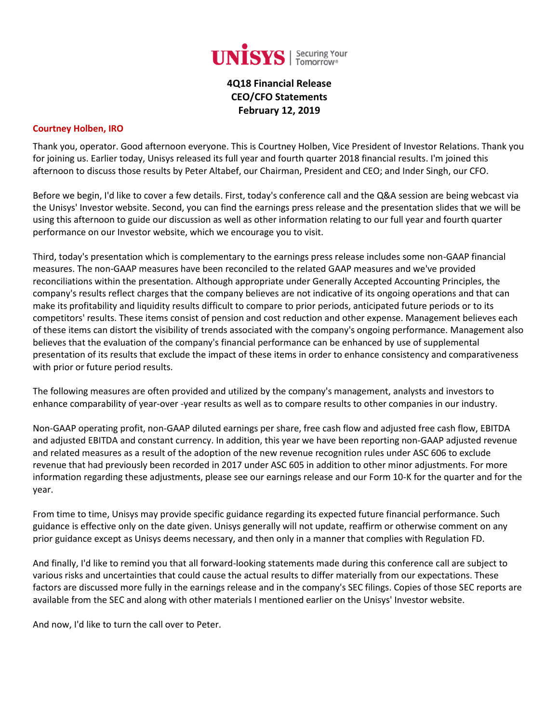

**4Q18 Financial Release CEO/CFO Statements February 12, 2019**

## **Courtney Holben, IRO**

Thank you, operator. Good afternoon everyone. This is Courtney Holben, Vice President of Investor Relations. Thank you for joining us. Earlier today, Unisys released its full year and fourth quarter 2018 financial results. I'm joined this afternoon to discuss those results by Peter Altabef, our Chairman, President and CEO; and Inder Singh, our CFO.

Before we begin, I'd like to cover a few details. First, today's conference call and the Q&A session are being webcast via the Unisys' Investor website. Second, you can find the earnings press release and the presentation slides that we will be using this afternoon to guide our discussion as well as other information relating to our full year and fourth quarter performance on our Investor website, which we encourage you to visit.

Third, today's presentation which is complementary to the earnings press release includes some non-GAAP financial measures. The non-GAAP measures have been reconciled to the related GAAP measures and we've provided reconciliations within the presentation. Although appropriate under Generally Accepted Accounting Principles, the company's results reflect charges that the company believes are not indicative of its ongoing operations and that can make its profitability and liquidity results difficult to compare to prior periods, anticipated future periods or to its competitors' results. These items consist of pension and cost reduction and other expense. Management believes each of these items can distort the visibility of trends associated with the company's ongoing performance. Management also believes that the evaluation of the company's financial performance can be enhanced by use of supplemental presentation of its results that exclude the impact of these items in order to enhance consistency and comparativeness with prior or future period results.

The following measures are often provided and utilized by the company's management, analysts and investors to enhance comparability of year-over -year results as well as to compare results to other companies in our industry.

Non-GAAP operating profit, non-GAAP diluted earnings per share, free cash flow and adjusted free cash flow, EBITDA and adjusted EBITDA and constant currency. In addition, this year we have been reporting non-GAAP adjusted revenue and related measures as a result of the adoption of the new revenue recognition rules under ASC 606 to exclude revenue that had previously been recorded in 2017 under ASC 605 in addition to other minor adjustments. For more information regarding these adjustments, please see our earnings release and our Form 10-K for the quarter and for the year.

From time to time, Unisys may provide specific guidance regarding its expected future financial performance. Such guidance is effective only on the date given. Unisys generally will not update, reaffirm or otherwise comment on any prior guidance except as Unisys deems necessary, and then only in a manner that complies with Regulation FD.

And finally, I'd like to remind you that all forward-looking statements made during this conference call are subject to various risks and uncertainties that could cause the actual results to differ materially from our expectations. These factors are discussed more fully in the earnings release and in the company's SEC filings. Copies of those SEC reports are available from the SEC and along with other materials I mentioned earlier on the Unisys' Investor website.

And now, I'd like to turn the call over to Peter.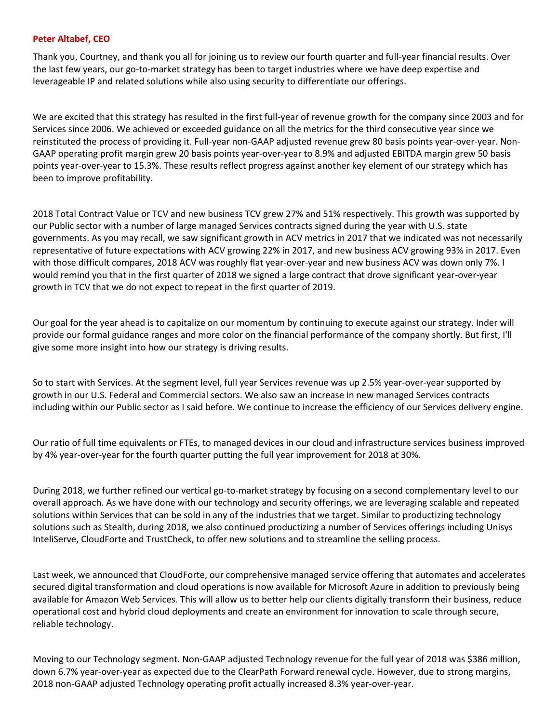### **Peter Altabef, CEO**

Thank you, Courtney, and thank you all for joining us to review our fourth quarter and full-year financial results. Over the last few years, our go-to-market strategy has been to target industries where we have deep expertise and leverageable IP and related solutions while also using security to differentiate our offerings.

We are excited that this strategy has resulted in the first full-year of revenue growth for the company since 2003 and for Services since 2006. We achieved or exceeded guidance on all the metrics for the third consecutive year since we reinstituted the process of providing it. Full-year non-GAAP adjusted revenue grew 80 basis points year-over-year. Non-GAAP operating profit margin grew 20 basis points year-over-year to 8.9% and adjusted EBITDA margin grew 50 basis points year-over-year to 15.3%. These results reflect progress against another key element of our strategy which has been to improve profitability.

2018 Total Contract Value or TCV and new business TCV grew 27% and 51% respectively. This growth was supported by our Public sector with a number of large managed Services contracts signed during the year with U.S. state governments. As you may recall, we saw significant growth in ACV metrics in 2017 that we indicated was not necessarily representative of future expectations with ACV growing 22% in 2017, and new business ACV growing 93% in 2017. Even with those difficult compares, 2018 ACV was roughly flat year-over-year and new business ACV was down only 7%. I would remind you that in the first quarter of 2018 we signed a large contract that drove significant year-over-year growth in TCV that we do not expect to repeat in the first quarter of 2019.

Our goal for the year ahead is to capitalize on our momentum by continuing to execute against our strategy. Inder will provide our formal guidance ranges and more color on the financial performance of the company shortly. But first, I'll give some more insight into how our strategy is driving results.

So to start with Services. At the segment level, full year Services revenue was up 2.5% year-over-year supported by growth in our U.S. Federal and Commercial sectors. We also saw an increase in new managed Services contracts including within our Public sector as I said before. We continue to increase the efficiency of our Services delivery engine.

Our ratio of full time equivalents or FTEs, to managed devices in our cloud and infrastructure services business improved by 4% year-over-year for the fourth quarter putting the full year improvement for 2018 at 30%.

During 2018, we further refined our vertical go-to-market strategy by focusing on a second complementary level to our overall approach. As we have done with our technology and security offerings, we are leveraging scalable and repeated solutions within Services that can be sold in any of the industries that we target. Similar to productizing technology solutions such as Stealth, during 2018, we also continued productizing a number of Services offerings including Unisys InteliServe, CloudForte and TrustCheck, to offer new solutions and to streamline the selling process.

Last week, we announced that CloudForte, our comprehensive managed service offering that automates and accelerates secured digital transformation and cloud operations is now available for Microsoft Azure in addition to previously being available for Amazon Web Services. This will allow us to better help our clients digitally transform their business, reduce operational cost and hybrid cloud deployments and create an environment for innovation to scale through secure, reliable technology.

Moving to our Technology segment. Non-GAAP adjusted Technology revenue for the full year of 2018 was \$386 million, down 6.7% year-over-year as expected due to the ClearPath Forward renewal cycle. However, due to strong margins, 2018 non-GAAP adjusted Technology operating profit actually increased 8.3% year-over-year.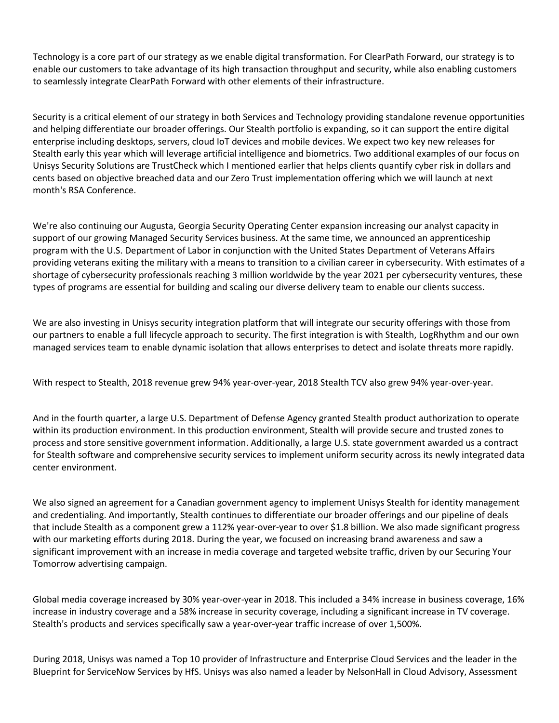Technology is a core part of our strategy as we enable digital transformation. For ClearPath Forward, our strategy is to enable our customers to take advantage of its high transaction throughput and security, while also enabling customers to seamlessly integrate ClearPath Forward with other elements of their infrastructure.

Security is a critical element of our strategy in both Services and Technology providing standalone revenue opportunities and helping differentiate our broader offerings. Our Stealth portfolio is expanding, so it can support the entire digital enterprise including desktops, servers, cloud IoT devices and mobile devices. We expect two key new releases for Stealth early this year which will leverage artificial intelligence and biometrics. Two additional examples of our focus on Unisys Security Solutions are TrustCheck which I mentioned earlier that helps clients quantify cyber risk in dollars and cents based on objective breached data and our Zero Trust implementation offering which we will launch at next month's RSA Conference.

We're also continuing our Augusta, Georgia Security Operating Center expansion increasing our analyst capacity in support of our growing Managed Security Services business. At the same time, we announced an apprenticeship program with the U.S. Department of Labor in conjunction with the United States Department of Veterans Affairs providing veterans exiting the military with a means to transition to a civilian career in cybersecurity. With estimates of a shortage of cybersecurity professionals reaching 3 million worldwide by the year 2021 per cybersecurity ventures, these types of programs are essential for building and scaling our diverse delivery team to enable our clients success.

We are also investing in Unisys security integration platform that will integrate our security offerings with those from our partners to enable a full lifecycle approach to security. The first integration is with Stealth, LogRhythm and our own managed services team to enable dynamic isolation that allows enterprises to detect and isolate threats more rapidly.

With respect to Stealth, 2018 revenue grew 94% year-over-year, 2018 Stealth TCV also grew 94% year-over-year.

And in the fourth quarter, a large U.S. Department of Defense Agency granted Stealth product authorization to operate within its production environment. In this production environment, Stealth will provide secure and trusted zones to process and store sensitive government information. Additionally, a large U.S. state government awarded us a contract for Stealth software and comprehensive security services to implement uniform security across its newly integrated data center environment.

We also signed an agreement for a Canadian government agency to implement Unisys Stealth for identity management and credentialing. And importantly, Stealth continues to differentiate our broader offerings and our pipeline of deals that include Stealth as a component grew a 112% year-over-year to over \$1.8 billion. We also made significant progress with our marketing efforts during 2018. During the year, we focused on increasing brand awareness and saw a significant improvement with an increase in media coverage and targeted website traffic, driven by our Securing Your Tomorrow advertising campaign.

Global media coverage increased by 30% year-over-year in 2018. This included a 34% increase in business coverage, 16% increase in industry coverage and a 58% increase in security coverage, including a significant increase in TV coverage. Stealth's products and services specifically saw a year-over-year traffic increase of over 1,500%.

During 2018, Unisys was named a Top 10 provider of Infrastructure and Enterprise Cloud Services and the leader in the Blueprint for ServiceNow Services by HfS. Unisys was also named a leader by NelsonHall in Cloud Advisory, Assessment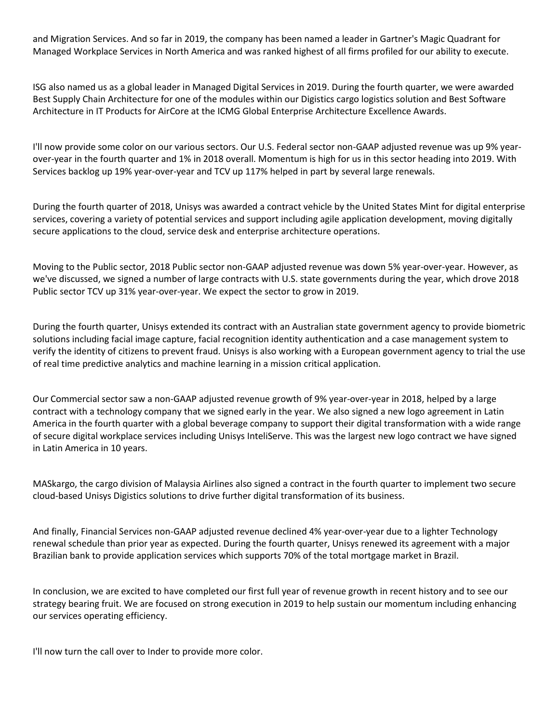and Migration Services. And so far in 2019, the company has been named a leader in Gartner's Magic Quadrant for Managed Workplace Services in North America and was ranked highest of all firms profiled for our ability to execute.

ISG also named us as a global leader in Managed Digital Services in 2019. During the fourth quarter, we were awarded Best Supply Chain Architecture for one of the modules within our Digistics cargo logistics solution and Best Software Architecture in IT Products for AirCore at the ICMG Global Enterprise Architecture Excellence Awards.

I'll now provide some color on our various sectors. Our U.S. Federal sector non-GAAP adjusted revenue was up 9% yearover-year in the fourth quarter and 1% in 2018 overall. Momentum is high for us in this sector heading into 2019. With Services backlog up 19% year-over-year and TCV up 117% helped in part by several large renewals.

During the fourth quarter of 2018, Unisys was awarded a contract vehicle by the United States Mint for digital enterprise services, covering a variety of potential services and support including agile application development, moving digitally secure applications to the cloud, service desk and enterprise architecture operations.

Moving to the Public sector, 2018 Public sector non-GAAP adjusted revenue was down 5% year-over-year. However, as we've discussed, we signed a number of large contracts with U.S. state governments during the year, which drove 2018 Public sector TCV up 31% year-over-year. We expect the sector to grow in 2019.

During the fourth quarter, Unisys extended its contract with an Australian state government agency to provide biometric solutions including facial image capture, facial recognition identity authentication and a case management system to verify the identity of citizens to prevent fraud. Unisys is also working with a European government agency to trial the use of real time predictive analytics and machine learning in a mission critical application.

Our Commercial sector saw a non-GAAP adjusted revenue growth of 9% year-over-year in 2018, helped by a large contract with a technology company that we signed early in the year. We also signed a new logo agreement in Latin America in the fourth quarter with a global beverage company to support their digital transformation with a wide range of secure digital workplace services including Unisys InteliServe. This was the largest new logo contract we have signed in Latin America in 10 years.

MASkargo, the cargo division of Malaysia Airlines also signed a contract in the fourth quarter to implement two secure cloud-based Unisys Digistics solutions to drive further digital transformation of its business.

And finally, Financial Services non-GAAP adjusted revenue declined 4% year-over-year due to a lighter Technology renewal schedule than prior year as expected. During the fourth quarter, Unisys renewed its agreement with a major Brazilian bank to provide application services which supports 70% of the total mortgage market in Brazil.

In conclusion, we are excited to have completed our first full year of revenue growth in recent history and to see our strategy bearing fruit. We are focused on strong execution in 2019 to help sustain our momentum including enhancing our services operating efficiency.

I'll now turn the call over to Inder to provide more color.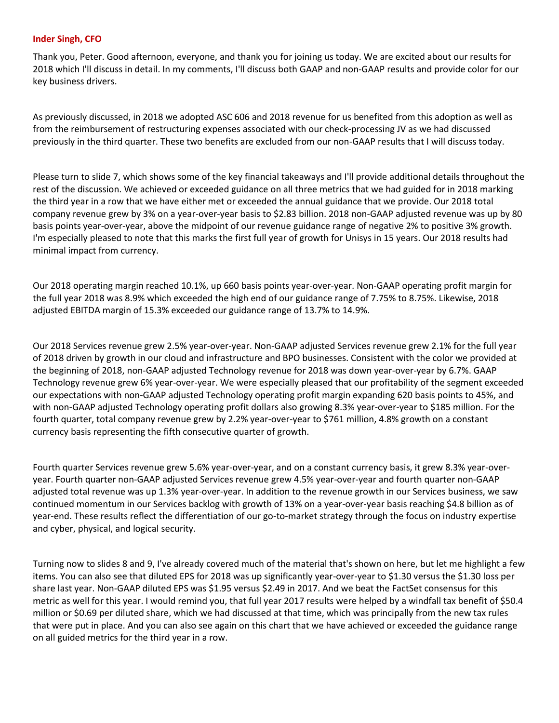#### **Inder Singh, CFO**

Thank you, Peter. Good afternoon, everyone, and thank you for joining us today. We are excited about our results for 2018 which I'll discuss in detail. In my comments, I'll discuss both GAAP and non-GAAP results and provide color for our key business drivers.

As previously discussed, in 2018 we adopted ASC 606 and 2018 revenue for us benefited from this adoption as well as from the reimbursement of restructuring expenses associated with our check-processing JV as we had discussed previously in the third quarter. These two benefits are excluded from our non-GAAP results that I will discuss today.

Please turn to slide 7, which shows some of the key financial takeaways and I'll provide additional details throughout the rest of the discussion. We achieved or exceeded guidance on all three metrics that we had guided for in 2018 marking the third year in a row that we have either met or exceeded the annual guidance that we provide. Our 2018 total company revenue grew by 3% on a year-over-year basis to \$2.83 billion. 2018 non-GAAP adjusted revenue was up by 80 basis points year-over-year, above the midpoint of our revenue guidance range of negative 2% to positive 3% growth. I'm especially pleased to note that this marks the first full year of growth for Unisys in 15 years. Our 2018 results had minimal impact from currency.

Our 2018 operating margin reached 10.1%, up 660 basis points year-over-year. Non-GAAP operating profit margin for the full year 2018 was 8.9% which exceeded the high end of our guidance range of 7.75% to 8.75%. Likewise, 2018 adjusted EBITDA margin of 15.3% exceeded our guidance range of 13.7% to 14.9%.

Our 2018 Services revenue grew 2.5% year-over-year. Non-GAAP adjusted Services revenue grew 2.1% for the full year of 2018 driven by growth in our cloud and infrastructure and BPO businesses. Consistent with the color we provided at the beginning of 2018, non-GAAP adjusted Technology revenue for 2018 was down year-over-year by 6.7%. GAAP Technology revenue grew 6% year-over-year. We were especially pleased that our profitability of the segment exceeded our expectations with non-GAAP adjusted Technology operating profit margin expanding 620 basis points to 45%, and with non-GAAP adjusted Technology operating profit dollars also growing 8.3% year-over-year to \$185 million. For the fourth quarter, total company revenue grew by 2.2% year-over-year to \$761 million, 4.8% growth on a constant currency basis representing the fifth consecutive quarter of growth.

Fourth quarter Services revenue grew 5.6% year-over-year, and on a constant currency basis, it grew 8.3% year-overyear. Fourth quarter non-GAAP adjusted Services revenue grew 4.5% year-over-year and fourth quarter non-GAAP adjusted total revenue was up 1.3% year-over-year. In addition to the revenue growth in our Services business, we saw continued momentum in our Services backlog with growth of 13% on a year-over-year basis reaching \$4.8 billion as of year-end. These results reflect the differentiation of our go-to-market strategy through the focus on industry expertise and cyber, physical, and logical security.

Turning now to slides 8 and 9, I've already covered much of the material that's shown on here, but let me highlight a few items. You can also see that diluted EPS for 2018 was up significantly year-over-year to \$1.30 versus the \$1.30 loss per share last year. Non-GAAP diluted EPS was \$1.95 versus \$2.49 in 2017. And we beat the FactSet consensus for this metric as well for this year. I would remind you, that full year 2017 results were helped by a windfall tax benefit of \$50.4 million or \$0.69 per diluted share, which we had discussed at that time, which was principally from the new tax rules that were put in place. And you can also see again on this chart that we have achieved or exceeded the guidance range on all guided metrics for the third year in a row.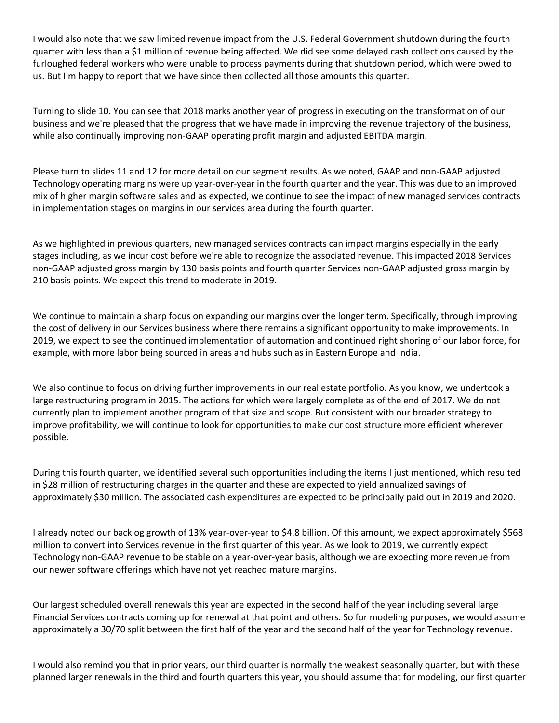I would also note that we saw limited revenue impact from the U.S. Federal Government shutdown during the fourth quarter with less than a \$1 million of revenue being affected. We did see some delayed cash collections caused by the furloughed federal workers who were unable to process payments during that shutdown period, which were owed to us. But I'm happy to report that we have since then collected all those amounts this quarter.

Turning to slide 10. You can see that 2018 marks another year of progress in executing on the transformation of our business and we're pleased that the progress that we have made in improving the revenue trajectory of the business, while also continually improving non-GAAP operating profit margin and adjusted EBITDA margin.

Please turn to slides 11 and 12 for more detail on our segment results. As we noted, GAAP and non-GAAP adjusted Technology operating margins were up year-over-year in the fourth quarter and the year. This was due to an improved mix of higher margin software sales and as expected, we continue to see the impact of new managed services contracts in implementation stages on margins in our services area during the fourth quarter.

As we highlighted in previous quarters, new managed services contracts can impact margins especially in the early stages including, as we incur cost before we're able to recognize the associated revenue. This impacted 2018 Services non-GAAP adjusted gross margin by 130 basis points and fourth quarter Services non-GAAP adjusted gross margin by 210 basis points. We expect this trend to moderate in 2019.

We continue to maintain a sharp focus on expanding our margins over the longer term. Specifically, through improving the cost of delivery in our Services business where there remains a significant opportunity to make improvements. In 2019, we expect to see the continued implementation of automation and continued right shoring of our labor force, for example, with more labor being sourced in areas and hubs such as in Eastern Europe and India.

We also continue to focus on driving further improvements in our real estate portfolio. As you know, we undertook a large restructuring program in 2015. The actions for which were largely complete as of the end of 2017. We do not currently plan to implement another program of that size and scope. But consistent with our broader strategy to improve profitability, we will continue to look for opportunities to make our cost structure more efficient wherever possible.

During this fourth quarter, we identified several such opportunities including the items I just mentioned, which resulted in \$28 million of restructuring charges in the quarter and these are expected to yield annualized savings of approximately \$30 million. The associated cash expenditures are expected to be principally paid out in 2019 and 2020.

I already noted our backlog growth of 13% year-over-year to \$4.8 billion. Of this amount, we expect approximately \$568 million to convert into Services revenue in the first quarter of this year. As we look to 2019, we currently expect Technology non-GAAP revenue to be stable on a year-over-year basis, although we are expecting more revenue from our newer software offerings which have not yet reached mature margins.

Our largest scheduled overall renewals this year are expected in the second half of the year including several large Financial Services contracts coming up for renewal at that point and others. So for modeling purposes, we would assume approximately a 30/70 split between the first half of the year and the second half of the year for Technology revenue.

I would also remind you that in prior years, our third quarter is normally the weakest seasonally quarter, but with these planned larger renewals in the third and fourth quarters this year, you should assume that for modeling, our first quarter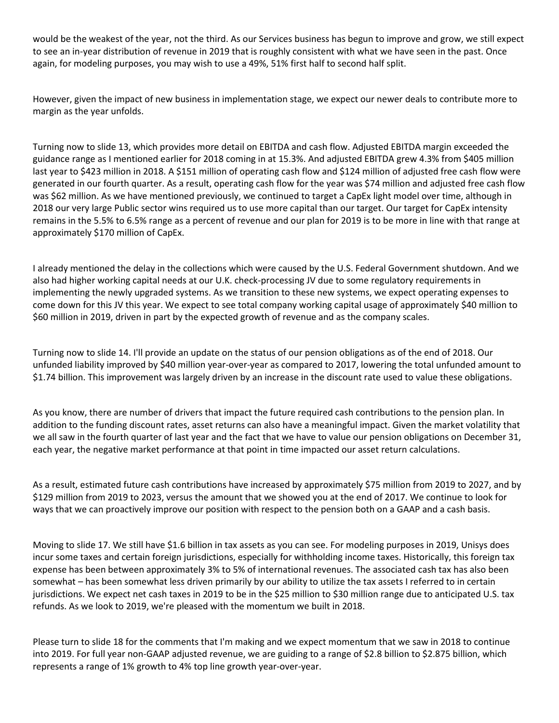would be the weakest of the year, not the third. As our Services business has begun to improve and grow, we still expect to see an in-year distribution of revenue in 2019 that is roughly consistent with what we have seen in the past. Once again, for modeling purposes, you may wish to use a 49%, 51% first half to second half split.

However, given the impact of new business in implementation stage, we expect our newer deals to contribute more to margin as the year unfolds.

Turning now to slide 13, which provides more detail on EBITDA and cash flow. Adjusted EBITDA margin exceeded the guidance range as I mentioned earlier for 2018 coming in at 15.3%. And adjusted EBITDA grew 4.3% from \$405 million last year to \$423 million in 2018. A \$151 million of operating cash flow and \$124 million of adjusted free cash flow were generated in our fourth quarter. As a result, operating cash flow for the year was \$74 million and adjusted free cash flow was \$62 million. As we have mentioned previously, we continued to target a CapEx light model over time, although in 2018 our very large Public sector wins required us to use more capital than our target. Our target for CapEx intensity remains in the 5.5% to 6.5% range as a percent of revenue and our plan for 2019 is to be more in line with that range at approximately \$170 million of CapEx.

I already mentioned the delay in the collections which were caused by the U.S. Federal Government shutdown. And we also had higher working capital needs at our U.K. check-processing JV due to some regulatory requirements in implementing the newly upgraded systems. As we transition to these new systems, we expect operating expenses to come down for this JV this year. We expect to see total company working capital usage of approximately \$40 million to \$60 million in 2019, driven in part by the expected growth of revenue and as the company scales.

Turning now to slide 14. I'll provide an update on the status of our pension obligations as of the end of 2018. Our unfunded liability improved by \$40 million year-over-year as compared to 2017, lowering the total unfunded amount to \$1.74 billion. This improvement was largely driven by an increase in the discount rate used to value these obligations.

As you know, there are number of drivers that impact the future required cash contributions to the pension plan. In addition to the funding discount rates, asset returns can also have a meaningful impact. Given the market volatility that we all saw in the fourth quarter of last year and the fact that we have to value our pension obligations on December 31, each year, the negative market performance at that point in time impacted our asset return calculations.

As a result, estimated future cash contributions have increased by approximately \$75 million from 2019 to 2027, and by \$129 million from 2019 to 2023, versus the amount that we showed you at the end of 2017. We continue to look for ways that we can proactively improve our position with respect to the pension both on a GAAP and a cash basis.

Moving to slide 17. We still have \$1.6 billion in tax assets as you can see. For modeling purposes in 2019, Unisys does incur some taxes and certain foreign jurisdictions, especially for withholding income taxes. Historically, this foreign tax expense has been between approximately 3% to 5% of international revenues. The associated cash tax has also been somewhat – has been somewhat less driven primarily by our ability to utilize the tax assets I referred to in certain jurisdictions. We expect net cash taxes in 2019 to be in the \$25 million to \$30 million range due to anticipated U.S. tax refunds. As we look to 2019, we're pleased with the momentum we built in 2018.

Please turn to slide 18 for the comments that I'm making and we expect momentum that we saw in 2018 to continue into 2019. For full year non-GAAP adjusted revenue, we are guiding to a range of \$2.8 billion to \$2.875 billion, which represents a range of 1% growth to 4% top line growth year-over-year.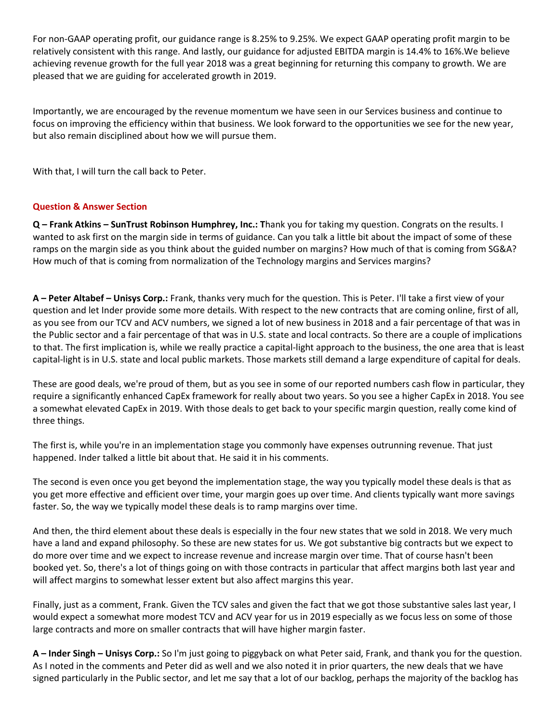For non-GAAP operating profit, our guidance range is 8.25% to 9.25%. We expect GAAP operating profit margin to be relatively consistent with this range. And lastly, our guidance for adjusted EBITDA margin is 14.4% to 16%.We believe achieving revenue growth for the full year 2018 was a great beginning for returning this company to growth. We are pleased that we are guiding for accelerated growth in 2019.

Importantly, we are encouraged by the revenue momentum we have seen in our Services business and continue to focus on improving the efficiency within that business. We look forward to the opportunities we see for the new year, but also remain disciplined about how we will pursue them.

With that, I will turn the call back to Peter.

## **Question & Answer Section**

**Q – Frank Atkins – SunTrust Robinson Humphrey, Inc.: T**hank you for taking my question. Congrats on the results. I wanted to ask first on the margin side in terms of guidance. Can you talk a little bit about the impact of some of these ramps on the margin side as you think about the guided number on margins? How much of that is coming from SG&A? How much of that is coming from normalization of the Technology margins and Services margins?

**A – Peter Altabef – Unisys Corp.:** Frank, thanks very much for the question. This is Peter. I'll take a first view of your question and let Inder provide some more details. With respect to the new contracts that are coming online, first of all, as you see from our TCV and ACV numbers, we signed a lot of new business in 2018 and a fair percentage of that was in the Public sector and a fair percentage of that was in U.S. state and local contracts. So there are a couple of implications to that. The first implication is, while we really practice a capital-light approach to the business, the one area that is least capital-light is in U.S. state and local public markets. Those markets still demand a large expenditure of capital for deals.

These are good deals, we're proud of them, but as you see in some of our reported numbers cash flow in particular, they require a significantly enhanced CapEx framework for really about two years. So you see a higher CapEx in 2018. You see a somewhat elevated CapEx in 2019. With those deals to get back to your specific margin question, really come kind of three things.

The first is, while you're in an implementation stage you commonly have expenses outrunning revenue. That just happened. Inder talked a little bit about that. He said it in his comments.

The second is even once you get beyond the implementation stage, the way you typically model these deals is that as you get more effective and efficient over time, your margin goes up over time. And clients typically want more savings faster. So, the way we typically model these deals is to ramp margins over time.

And then, the third element about these deals is especially in the four new states that we sold in 2018. We very much have a land and expand philosophy. So these are new states for us. We got substantive big contracts but we expect to do more over time and we expect to increase revenue and increase margin over time. That of course hasn't been booked yet. So, there's a lot of things going on with those contracts in particular that affect margins both last year and will affect margins to somewhat lesser extent but also affect margins this year.

Finally, just as a comment, Frank. Given the TCV sales and given the fact that we got those substantive sales last year, I would expect a somewhat more modest TCV and ACV year for us in 2019 especially as we focus less on some of those large contracts and more on smaller contracts that will have higher margin faster.

**A – Inder Singh – Unisys Corp.:** So I'm just going to piggyback on what Peter said, Frank, and thank you for the question. As I noted in the comments and Peter did as well and we also noted it in prior quarters, the new deals that we have signed particularly in the Public sector, and let me say that a lot of our backlog, perhaps the majority of the backlog has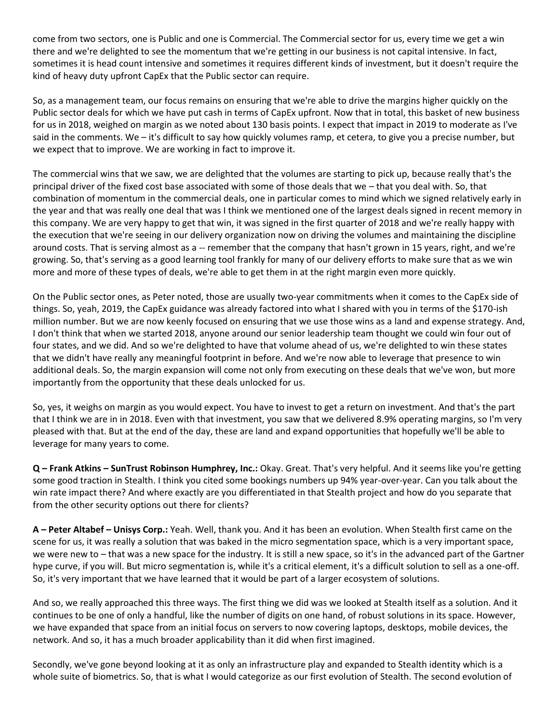come from two sectors, one is Public and one is Commercial. The Commercial sector for us, every time we get a win there and we're delighted to see the momentum that we're getting in our business is not capital intensive. In fact, sometimes it is head count intensive and sometimes it requires different kinds of investment, but it doesn't require the kind of heavy duty upfront CapEx that the Public sector can require.

So, as a management team, our focus remains on ensuring that we're able to drive the margins higher quickly on the Public sector deals for which we have put cash in terms of CapEx upfront. Now that in total, this basket of new business for us in 2018, weighed on margin as we noted about 130 basis points. I expect that impact in 2019 to moderate as I've said in the comments. We – it's difficult to say how quickly volumes ramp, et cetera, to give you a precise number, but we expect that to improve. We are working in fact to improve it.

The commercial wins that we saw, we are delighted that the volumes are starting to pick up, because really that's the principal driver of the fixed cost base associated with some of those deals that we – that you deal with. So, that combination of momentum in the commercial deals, one in particular comes to mind which we signed relatively early in the year and that was really one deal that was I think we mentioned one of the largest deals signed in recent memory in this company. We are very happy to get that win, it was signed in the first quarter of 2018 and we're really happy with the execution that we're seeing in our delivery organization now on driving the volumes and maintaining the discipline around costs. That is serving almost as a -- remember that the company that hasn't grown in 15 years, right, and we're growing. So, that's serving as a good learning tool frankly for many of our delivery efforts to make sure that as we win more and more of these types of deals, we're able to get them in at the right margin even more quickly.

On the Public sector ones, as Peter noted, those are usually two-year commitments when it comes to the CapEx side of things. So, yeah, 2019, the CapEx guidance was already factored into what I shared with you in terms of the \$170-ish million number. But we are now keenly focused on ensuring that we use those wins as a land and expense strategy. And, I don't think that when we started 2018, anyone around our senior leadership team thought we could win four out of four states, and we did. And so we're delighted to have that volume ahead of us, we're delighted to win these states that we didn't have really any meaningful footprint in before. And we're now able to leverage that presence to win additional deals. So, the margin expansion will come not only from executing on these deals that we've won, but more importantly from the opportunity that these deals unlocked for us.

So, yes, it weighs on margin as you would expect. You have to invest to get a return on investment. And that's the part that I think we are in in 2018. Even with that investment, you saw that we delivered 8.9% operating margins, so I'm very pleased with that. But at the end of the day, these are land and expand opportunities that hopefully we'll be able to leverage for many years to come.

**Q – Frank Atkins – SunTrust Robinson Humphrey, Inc.:** Okay. Great. That's very helpful. And it seems like you're getting some good traction in Stealth. I think you cited some bookings numbers up 94% year-over-year. Can you talk about the win rate impact there? And where exactly are you differentiated in that Stealth project and how do you separate that from the other security options out there for clients?

**A – Peter Altabef – Unisys Corp.:** Yeah. Well, thank you. And it has been an evolution. When Stealth first came on the scene for us, it was really a solution that was baked in the micro segmentation space, which is a very important space, we were new to – that was a new space for the industry. It is still a new space, so it's in the advanced part of the Gartner hype curve, if you will. But micro segmentation is, while it's a critical element, it's a difficult solution to sell as a one-off. So, it's very important that we have learned that it would be part of a larger ecosystem of solutions.

And so, we really approached this three ways. The first thing we did was we looked at Stealth itself as a solution. And it continues to be one of only a handful, like the number of digits on one hand, of robust solutions in its space. However, we have expanded that space from an initial focus on servers to now covering laptops, desktops, mobile devices, the network. And so, it has a much broader applicability than it did when first imagined.

Secondly, we've gone beyond looking at it as only an infrastructure play and expanded to Stealth identity which is a whole suite of biometrics. So, that is what I would categorize as our first evolution of Stealth. The second evolution of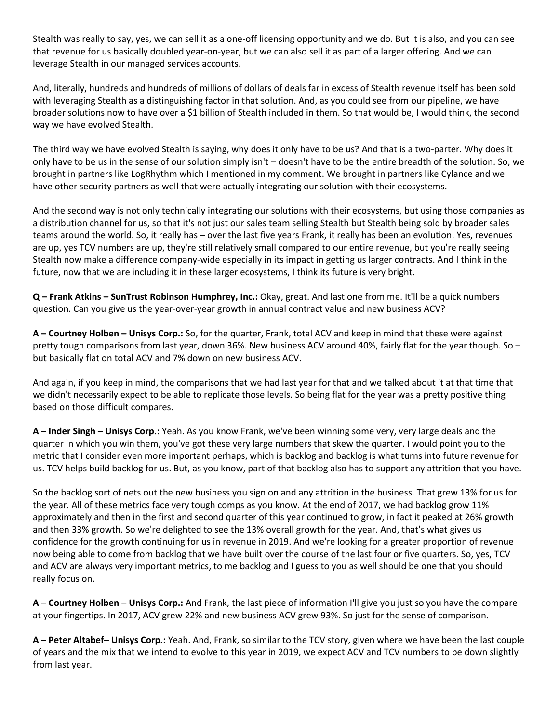Stealth was really to say, yes, we can sell it as a one-off licensing opportunity and we do. But it is also, and you can see that revenue for us basically doubled year-on-year, but we can also sell it as part of a larger offering. And we can leverage Stealth in our managed services accounts.

And, literally, hundreds and hundreds of millions of dollars of deals far in excess of Stealth revenue itself has been sold with leveraging Stealth as a distinguishing factor in that solution. And, as you could see from our pipeline, we have broader solutions now to have over a \$1 billion of Stealth included in them. So that would be, I would think, the second way we have evolved Stealth.

The third way we have evolved Stealth is saying, why does it only have to be us? And that is a two-parter. Why does it only have to be us in the sense of our solution simply isn't – doesn't have to be the entire breadth of the solution. So, we brought in partners like LogRhythm which I mentioned in my comment. We brought in partners like Cylance and we have other security partners as well that were actually integrating our solution with their ecosystems.

And the second way is not only technically integrating our solutions with their ecosystems, but using those companies as a distribution channel for us, so that it's not just our sales team selling Stealth but Stealth being sold by broader sales teams around the world. So, it really has – over the last five years Frank, it really has been an evolution. Yes, revenues are up, yes TCV numbers are up, they're still relatively small compared to our entire revenue, but you're really seeing Stealth now make a difference company-wide especially in its impact in getting us larger contracts. And I think in the future, now that we are including it in these larger ecosystems, I think its future is very bright.

**Q – Frank Atkins – SunTrust Robinson Humphrey, Inc.:** Okay, great. And last one from me. It'll be a quick numbers question. Can you give us the year-over-year growth in annual contract value and new business ACV?

**A – Courtney Holben – Unisys Corp.:** So, for the quarter, Frank, total ACV and keep in mind that these were against pretty tough comparisons from last year, down 36%. New business ACV around 40%, fairly flat for the year though. So – but basically flat on total ACV and 7% down on new business ACV.

And again, if you keep in mind, the comparisons that we had last year for that and we talked about it at that time that we didn't necessarily expect to be able to replicate those levels. So being flat for the year was a pretty positive thing based on those difficult compares.

**A – Inder Singh – Unisys Corp.:** Yeah. As you know Frank, we've been winning some very, very large deals and the quarter in which you win them, you've got these very large numbers that skew the quarter. I would point you to the metric that I consider even more important perhaps, which is backlog and backlog is what turns into future revenue for us. TCV helps build backlog for us. But, as you know, part of that backlog also has to support any attrition that you have.

So the backlog sort of nets out the new business you sign on and any attrition in the business. That grew 13% for us for the year. All of these metrics face very tough comps as you know. At the end of 2017, we had backlog grow 11% approximately and then in the first and second quarter of this year continued to grow, in fact it peaked at 26% growth and then 33% growth. So we're delighted to see the 13% overall growth for the year. And, that's what gives us confidence for the growth continuing for us in revenue in 2019. And we're looking for a greater proportion of revenue now being able to come from backlog that we have built over the course of the last four or five quarters. So, yes, TCV and ACV are always very important metrics, to me backlog and I guess to you as well should be one that you should really focus on.

**A – Courtney Holben – Unisys Corp.:** And Frank, the last piece of information I'll give you just so you have the compare at your fingertips. In 2017, ACV grew 22% and new business ACV grew 93%. So just for the sense of comparison.

**A – Peter Altabef– Unisys Corp.:** Yeah. And, Frank, so similar to the TCV story, given where we have been the last couple of years and the mix that we intend to evolve to this year in 2019, we expect ACV and TCV numbers to be down slightly from last year.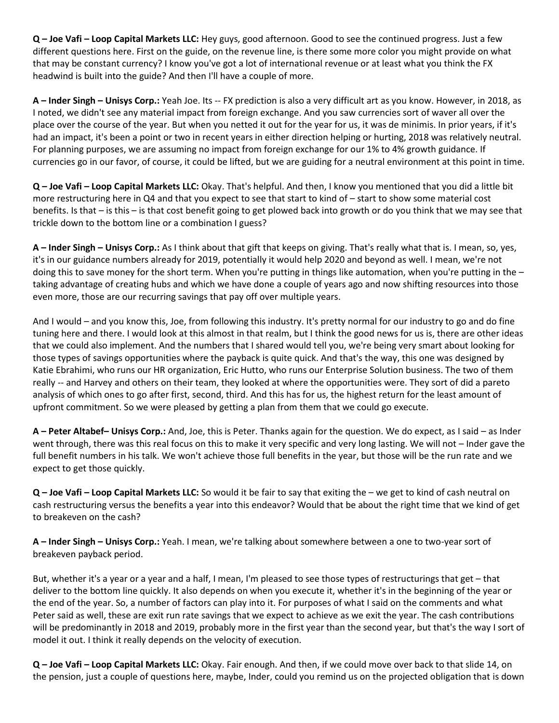**Q – Joe Vafi – Loop Capital Markets LLC:** Hey guys, good afternoon. Good to see the continued progress. Just a few different questions here. First on the guide, on the revenue line, is there some more color you might provide on what that may be constant currency? I know you've got a lot of international revenue or at least what you think the FX headwind is built into the guide? And then I'll have a couple of more.

**A – Inder Singh – Unisys Corp.:** Yeah Joe. Its -- FX prediction is also a very difficult art as you know. However, in 2018, as I noted, we didn't see any material impact from foreign exchange. And you saw currencies sort of waver all over the place over the course of the year. But when you netted it out for the year for us, it was de minimis. In prior years, if it's had an impact, it's been a point or two in recent years in either direction helping or hurting, 2018 was relatively neutral. For planning purposes, we are assuming no impact from foreign exchange for our 1% to 4% growth guidance. If currencies go in our favor, of course, it could be lifted, but we are guiding for a neutral environment at this point in time.

**Q – Joe Vafi – Loop Capital Markets LLC:** Okay. That's helpful. And then, I know you mentioned that you did a little bit more restructuring here in Q4 and that you expect to see that start to kind of – start to show some material cost benefits. Is that – is this – is that cost benefit going to get plowed back into growth or do you think that we may see that trickle down to the bottom line or a combination I guess?

**A – Inder Singh – Unisys Corp.:** As I think about that gift that keeps on giving. That's really what that is. I mean, so, yes, it's in our guidance numbers already for 2019, potentially it would help 2020 and beyond as well. I mean, we're not doing this to save money for the short term. When you're putting in things like automation, when you're putting in the  $$ taking advantage of creating hubs and which we have done a couple of years ago and now shifting resources into those even more, those are our recurring savings that pay off over multiple years.

And I would – and you know this, Joe, from following this industry. It's pretty normal for our industry to go and do fine tuning here and there. I would look at this almost in that realm, but I think the good news for us is, there are other ideas that we could also implement. And the numbers that I shared would tell you, we're being very smart about looking for those types of savings opportunities where the payback is quite quick. And that's the way, this one was designed by Katie Ebrahimi, who runs our HR organization, Eric Hutto, who runs our Enterprise Solution business. The two of them really -- and Harvey and others on their team, they looked at where the opportunities were. They sort of did a pareto analysis of which ones to go after first, second, third. And this has for us, the highest return for the least amount of upfront commitment. So we were pleased by getting a plan from them that we could go execute.

**A – Peter Altabef– Unisys Corp.:** And, Joe, this is Peter. Thanks again for the question. We do expect, as I said – as Inder went through, there was this real focus on this to make it very specific and very long lasting. We will not – Inder gave the full benefit numbers in his talk. We won't achieve those full benefits in the year, but those will be the run rate and we expect to get those quickly.

**Q – Joe Vafi – Loop Capital Markets LLC:** So would it be fair to say that exiting the – we get to kind of cash neutral on cash restructuring versus the benefits a year into this endeavor? Would that be about the right time that we kind of get to breakeven on the cash?

**A – Inder Singh – Unisys Corp.:** Yeah. I mean, we're talking about somewhere between a one to two-year sort of breakeven payback period.

But, whether it's a year or a year and a half, I mean, I'm pleased to see those types of restructurings that get – that deliver to the bottom line quickly. It also depends on when you execute it, whether it's in the beginning of the year or the end of the year. So, a number of factors can play into it. For purposes of what I said on the comments and what Peter said as well, these are exit run rate savings that we expect to achieve as we exit the year. The cash contributions will be predominantly in 2018 and 2019, probably more in the first year than the second year, but that's the way I sort of model it out. I think it really depends on the velocity of execution.

**Q – Joe Vafi – Loop Capital Markets LLC:** Okay. Fair enough. And then, if we could move over back to that slide 14, on the pension, just a couple of questions here, maybe, Inder, could you remind us on the projected obligation that is down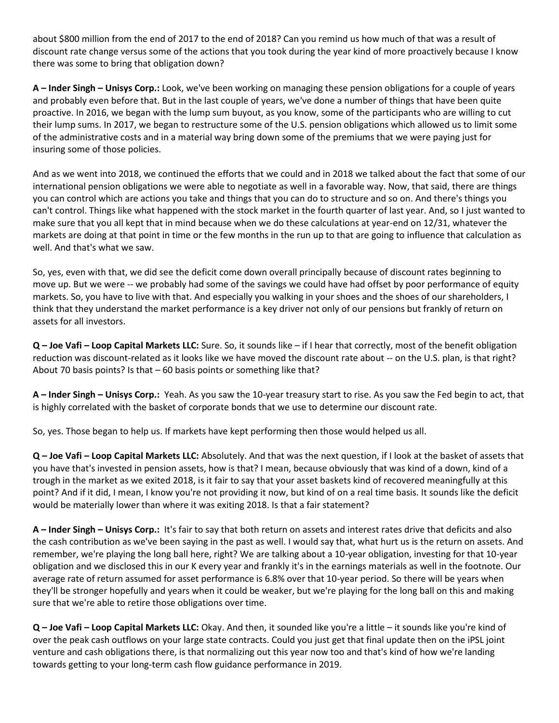about \$800 million from the end of 2017 to the end of 2018? Can you remind us how much of that was a result of discount rate change versus some of the actions that you took during the year kind of more proactively because I know there was some to bring that obligation down?

**A – Inder Singh – Unisys Corp.:** Look, we've been working on managing these pension obligations for a couple of years and probably even before that. But in the last couple of years, we've done a number of things that have been quite proactive. In 2016, we began with the lump sum buyout, as you know, some of the participants who are willing to cut their lump sums. In 2017, we began to restructure some of the U.S. pension obligations which allowed us to limit some of the administrative costs and in a material way bring down some of the premiums that we were paying just for insuring some of those policies.

And as we went into 2018, we continued the efforts that we could and in 2018 we talked about the fact that some of our international pension obligations we were able to negotiate as well in a favorable way. Now, that said, there are things you can control which are actions you take and things that you can do to structure and so on. And there's things you can't control. Things like what happened with the stock market in the fourth quarter of last year. And, so I just wanted to make sure that you all kept that in mind because when we do these calculations at year-end on 12/31, whatever the markets are doing at that point in time or the few months in the run up to that are going to influence that calculation as well. And that's what we saw.

So, yes, even with that, we did see the deficit come down overall principally because of discount rates beginning to move up. But we were -- we probably had some of the savings we could have had offset by poor performance of equity markets. So, you have to live with that. And especially you walking in your shoes and the shoes of our shareholders, I think that they understand the market performance is a key driver not only of our pensions but frankly of return on assets for all investors.

**Q – Joe Vafi – Loop Capital Markets LLC:** Sure. So, it sounds like – if I hear that correctly, most of the benefit obligation reduction was discount-related as it looks like we have moved the discount rate about -- on the U.S. plan, is that right? About 70 basis points? Is that – 60 basis points or something like that?

**A – Inder Singh – Unisys Corp.:** Yeah. As you saw the 10-year treasury start to rise. As you saw the Fed begin to act, that is highly correlated with the basket of corporate bonds that we use to determine our discount rate.

So, yes. Those began to help us. If markets have kept performing then those would helped us all.

**Q – Joe Vafi – Loop Capital Markets LLC:** Absolutely. And that was the next question, if I look at the basket of assets that you have that's invested in pension assets, how is that? I mean, because obviously that was kind of a down, kind of a trough in the market as we exited 2018, is it fair to say that your asset baskets kind of recovered meaningfully at this point? And if it did, I mean, I know you're not providing it now, but kind of on a real time basis. It sounds like the deficit would be materially lower than where it was exiting 2018. Is that a fair statement?

**A – Inder Singh – Unisys Corp.:** It's fair to say that both return on assets and interest rates drive that deficits and also the cash contribution as we've been saying in the past as well. I would say that, what hurt us is the return on assets. And remember, we're playing the long ball here, right? We are talking about a 10-year obligation, investing for that 10-year obligation and we disclosed this in our K every year and frankly it's in the earnings materials as well in the footnote. Our average rate of return assumed for asset performance is 6.8% over that 10-year period. So there will be years when they'll be stronger hopefully and years when it could be weaker, but we're playing for the long ball on this and making sure that we're able to retire those obligations over time.

**Q – Joe Vafi – Loop Capital Markets LLC:** Okay. And then, it sounded like you're a little – it sounds like you're kind of over the peak cash outflows on your large state contracts. Could you just get that final update then on the iPSL joint venture and cash obligations there, is that normalizing out this year now too and that's kind of how we're landing towards getting to your long-term cash flow guidance performance in 2019.